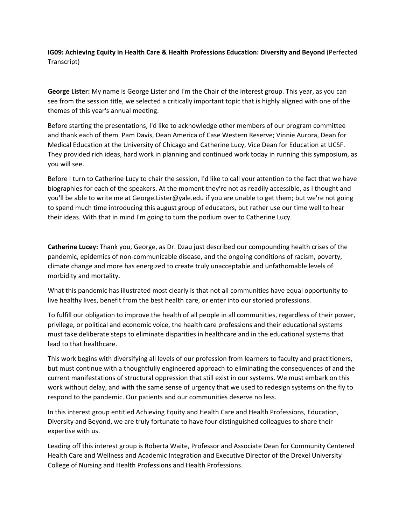**IG09: Achieving Equity in Health Care & Health Professions Education: Diversity and Beyond** (Perfected Transcript)

**George Lister:** My name is George Lister and I'm the Chair of the interest group. This year, as you can see from the session title, we selected a critically important topic that is highly aligned with one of the themes of this year's annual meeting.

Before starting the presentations, I'd like to acknowledge other members of our program committee and thank each of them. Pam Davis, Dean America of Case Western Reserve; Vinnie Aurora, Dean for Medical Education at the University of Chicago and Catherine Lucy, Vice Dean for Education at UCSF. They provided rich ideas, hard work in planning and continued work today in running this symposium, as you will see.

Before I turn to Catherine Lucy to chair the session, I'd like to call your attention to the fact that we have biographies for each of the speakers. At the moment they're not as readily accessible, as I thought and you'll be able to write me at George.Lister@yale.edu if you are unable to get them; but we're not going to spend much time introducing this august group of educators, but rather use our time well to hear their ideas. With that in mind I'm going to turn the podium over to Catherine Lucy.

**Catherine Lucey:** Thank you, George, as Dr. Dzau just described our compounding health crises of the pandemic, epidemics of non‐communicable disease, and the ongoing conditions of racism, poverty, climate change and more has energized to create truly unacceptable and unfathomable levels of morbidity and mortality.

What this pandemic has illustrated most clearly is that not all communities have equal opportunity to live healthy lives, benefit from the best health care, or enter into our storied professions.

To fulfill our obligation to improve the health of all people in all communities, regardless of their power, privilege, or political and economic voice, the health care professions and their educational systems must take deliberate steps to eliminate disparities in healthcare and in the educational systems that lead to that healthcare.

This work begins with diversifying all levels of our profession from learners to faculty and practitioners, but must continue with a thoughtfully engineered approach to eliminating the consequences of and the current manifestations of structural oppression that still exist in our systems. We must embark on this work without delay, and with the same sense of urgency that we used to redesign systems on the fly to respond to the pandemic. Our patients and our communities deserve no less.

In this interest group entitled Achieving Equity and Health Care and Health Professions, Education, Diversity and Beyond, we are truly fortunate to have four distinguished colleagues to share their expertise with us.

Leading off this interest group is Roberta Waite, Professor and Associate Dean for Community Centered Health Care and Wellness and Academic Integration and Executive Director of the Drexel University College of Nursing and Health Professions and Health Professions.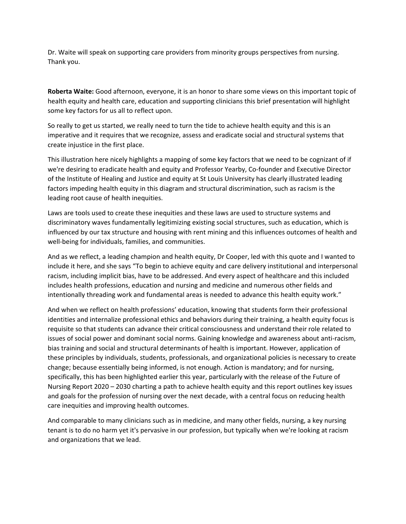Dr. Waite will speak on supporting care providers from minority groups perspectives from nursing. Thank you.

**Roberta Waite:** Good afternoon, everyone, it is an honor to share some views on this important topic of health equity and health care, education and supporting clinicians this brief presentation will highlight some key factors for us all to reflect upon.

So really to get us started, we really need to turn the tide to achieve health equity and this is an imperative and it requires that we recognize, assess and eradicate social and structural systems that create injustice in the first place.

This illustration here nicely highlights a mapping of some key factors that we need to be cognizant of if we're desiring to eradicate health and equity and Professor Yearby, Co-founder and Executive Director of the Institute of Healing and Justice and equity at St Louis University has clearly illustrated leading factors impeding health equity in this diagram and structural discrimination, such as racism is the leading root cause of health inequities.

Laws are tools used to create these inequities and these laws are used to structure systems and discriminatory waves fundamentally legitimizing existing social structures, such as education, which is influenced by our tax structure and housing with rent mining and this influences outcomes of health and well-being for individuals, families, and communities.

And as we reflect, a leading champion and health equity, Dr Cooper, led with this quote and I wanted to include it here, and she says "To begin to achieve equity and care delivery institutional and interpersonal racism, including implicit bias, have to be addressed. And every aspect of healthcare and this included includes health professions, education and nursing and medicine and numerous other fields and intentionally threading work and fundamental areas is needed to advance this health equity work."

And when we reflect on health professions' education, knowing that students form their professional identities and internalize professional ethics and behaviors during their training, a health equity focus is requisite so that students can advance their critical consciousness and understand their role related to issues of social power and dominant social norms. Gaining knowledge and awareness about anti‐racism, bias training and social and structural determinants of health is important. However, application of these principles by individuals, students, professionals, and organizational policies is necessary to create change; because essentially being informed, is not enough. Action is mandatory; and for nursing, specifically, this has been highlighted earlier this year, particularly with the release of the Future of Nursing Report 2020 – 2030 charting a path to achieve health equity and this report outlines key issues and goals for the profession of nursing over the next decade, with a central focus on reducing health care inequities and improving health outcomes.

And comparable to many clinicians such as in medicine, and many other fields, nursing, a key nursing tenant is to do no harm yet it's pervasive in our profession, but typically when we're looking at racism and organizations that we lead.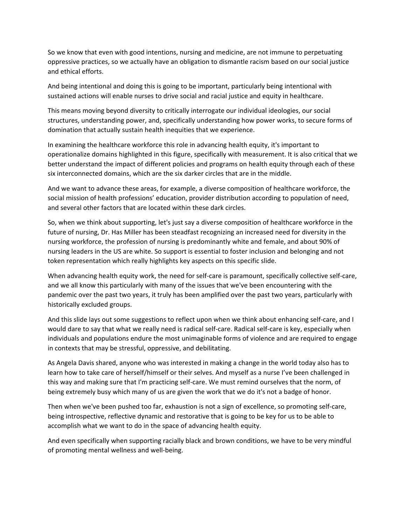So we know that even with good intentions, nursing and medicine, are not immune to perpetuating oppressive practices, so we actually have an obligation to dismantle racism based on our social justice and ethical efforts.

And being intentional and doing this is going to be important, particularly being intentional with sustained actions will enable nurses to drive social and racial justice and equity in healthcare.

This means moving beyond diversity to critically interrogate our individual ideologies, our social structures, understanding power, and, specifically understanding how power works, to secure forms of domination that actually sustain health inequities that we experience.

In examining the healthcare workforce this role in advancing health equity, it's important to operationalize domains highlighted in this figure, specifically with measurement. It is also critical that we better understand the impact of different policies and programs on health equity through each of these six interconnected domains, which are the six darker circles that are in the middle.

And we want to advance these areas, for example, a diverse composition of healthcare workforce, the social mission of health professions' education, provider distribution according to population of need, and several other factors that are located within these dark circles.

So, when we think about supporting, let's just say a diverse composition of healthcare workforce in the future of nursing, Dr. Has Miller has been steadfast recognizing an increased need for diversity in the nursing workforce, the profession of nursing is predominantly white and female, and about 90% of nursing leaders in the US are white. So support is essential to foster inclusion and belonging and not token representation which really highlights key aspects on this specific slide.

When advancing health equity work, the need for self-care is paramount, specifically collective self-care, and we all know this particularly with many of the issues that we've been encountering with the pandemic over the past two years, it truly has been amplified over the past two years, particularly with historically excluded groups.

And this slide lays out some suggestions to reflect upon when we think about enhancing self-care, and I would dare to say that what we really need is radical self‐care. Radical self‐care is key, especially when individuals and populations endure the most unimaginable forms of violence and are required to engage in contexts that may be stressful, oppressive, and debilitating.

As Angela Davis shared, anyone who was interested in making a change in the world today also has to learn how to take care of herself/himself or their selves. And myself as a nurse I've been challenged in this way and making sure that I'm practicing self‐care. We must remind ourselves that the norm, of being extremely busy which many of us are given the work that we do it's not a badge of honor.

Then when we've been pushed too far, exhaustion is not a sign of excellence, so promoting self‐care, being introspective, reflective dynamic and restorative that is going to be key for us to be able to accomplish what we want to do in the space of advancing health equity.

And even specifically when supporting racially black and brown conditions, we have to be very mindful of promoting mental wellness and well‐being.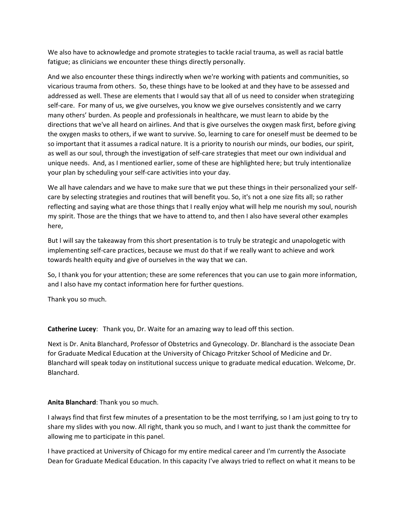We also have to acknowledge and promote strategies to tackle racial trauma, as well as racial battle fatigue; as clinicians we encounter these things directly personally.

And we also encounter these things indirectly when we're working with patients and communities, so vicarious trauma from others. So, these things have to be looked at and they have to be assessed and addressed as well. These are elements that I would say that all of us need to consider when strategizing self-care. For many of us, we give ourselves, you know we give ourselves consistently and we carry many others' burden. As people and professionals in healthcare, we must learn to abide by the directions that we've all heard on airlines. And that is give ourselves the oxygen mask first, before giving the oxygen masks to others, if we want to survive. So, learning to care for oneself must be deemed to be so important that it assumes a radical nature. It is a priority to nourish our minds, our bodies, our spirit, as well as our soul, through the investigation of self‐care strategies that meet our own individual and unique needs. And, as I mentioned earlier, some of these are highlighted here; but truly intentionalize your plan by scheduling your self‐care activities into your day.

We all have calendars and we have to make sure that we put these things in their personalized your selfcare by selecting strategies and routines that will benefit you. So, it's not a one size fits all; so rather reflecting and saying what are those things that I really enjoy what will help me nourish my soul, nourish my spirit. Those are the things that we have to attend to, and then I also have several other examples here,

But I will say the takeaway from this short presentation is to truly be strategic and unapologetic with implementing self-care practices, because we must do that if we really want to achieve and work towards health equity and give of ourselves in the way that we can.

So, I thank you for your attention; these are some references that you can use to gain more information, and I also have my contact information here for further questions.

Thank you so much.

**Catherine Lucey**: Thank you, Dr. Waite for an amazing way to lead off this section.

Next is Dr. Anita Blanchard, Professor of Obstetrics and Gynecology. Dr. Blanchard is the associate Dean for Graduate Medical Education at the University of Chicago Pritzker School of Medicine and Dr. Blanchard will speak today on institutional success unique to graduate medical education. Welcome, Dr. Blanchard.

## **Anita Blanchard**: Thank you so much.

I always find that first few minutes of a presentation to be the most terrifying, so I am just going to try to share my slides with you now. All right, thank you so much, and I want to just thank the committee for allowing me to participate in this panel.

I have practiced at University of Chicago for my entire medical career and I'm currently the Associate Dean for Graduate Medical Education. In this capacity I've always tried to reflect on what it means to be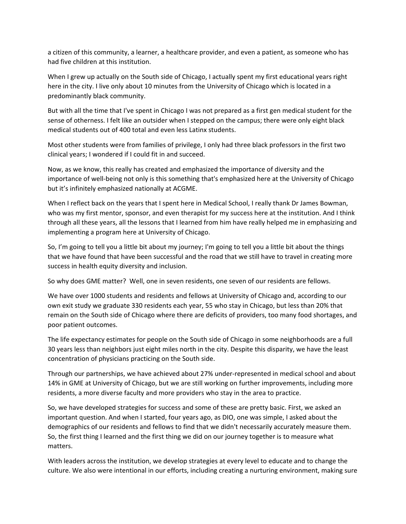a citizen of this community, a learner, a healthcare provider, and even a patient, as someone who has had five children at this institution.

When I grew up actually on the South side of Chicago, I actually spent my first educational years right here in the city. I live only about 10 minutes from the University of Chicago which is located in a predominantly black community.

But with all the time that I've spent in Chicago I was not prepared as a first gen medical student for the sense of otherness. I felt like an outsider when I stepped on the campus; there were only eight black medical students out of 400 total and even less Latinx students.

Most other students were from families of privilege, I only had three black professors in the first two clinical years; I wondered if I could fit in and succeed.

Now, as we know, this really has created and emphasized the importance of diversity and the importance of well‐being not only is this something that's emphasized here at the University of Chicago but it's infinitely emphasized nationally at ACGME.

When I reflect back on the years that I spent here in Medical School, I really thank Dr James Bowman, who was my first mentor, sponsor, and even therapist for my success here at the institution. And I think through all these years, all the lessons that I learned from him have really helped me in emphasizing and implementing a program here at University of Chicago.

So, I'm going to tell you a little bit about my journey; I'm going to tell you a little bit about the things that we have found that have been successful and the road that we still have to travel in creating more success in health equity diversity and inclusion.

So why does GME matter? Well, one in seven residents, one seven of our residents are fellows.

We have over 1000 students and residents and fellows at University of Chicago and, according to our own exit study we graduate 330 residents each year, 55 who stay in Chicago, but less than 20% that remain on the South side of Chicago where there are deficits of providers, too many food shortages, and poor patient outcomes.

The life expectancy estimates for people on the South side of Chicago in some neighborhoods are a full 30 years less than neighbors just eight miles north in the city. Despite this disparity, we have the least concentration of physicians practicing on the South side.

Through our partnerships, we have achieved about 27% under‐represented in medical school and about 14% in GME at University of Chicago, but we are still working on further improvements, including more residents, a more diverse faculty and more providers who stay in the area to practice.

So, we have developed strategies for success and some of these are pretty basic. First, we asked an important question. And when I started, four years ago, as DIO, one was simple, I asked about the demographics of our residents and fellows to find that we didn't necessarily accurately measure them. So, the first thing I learned and the first thing we did on our journey together is to measure what matters.

With leaders across the institution, we develop strategies at every level to educate and to change the culture. We also were intentional in our efforts, including creating a nurturing environment, making sure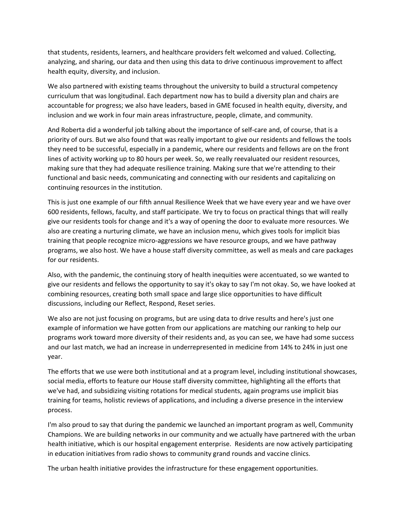that students, residents, learners, and healthcare providers felt welcomed and valued. Collecting, analyzing, and sharing, our data and then using this data to drive continuous improvement to affect health equity, diversity, and inclusion.

We also partnered with existing teams throughout the university to build a structural competency curriculum that was longitudinal. Each department now has to build a diversity plan and chairs are accountable for progress; we also have leaders, based in GME focused in health equity, diversity, and inclusion and we work in four main areas infrastructure, people, climate, and community.

And Roberta did a wonderful job talking about the importance of self‐care and, of course, that is a priority of ours. But we also found that was really important to give our residents and fellows the tools they need to be successful, especially in a pandemic, where our residents and fellows are on the front lines of activity working up to 80 hours per week. So, we really reevaluated our resident resources, making sure that they had adequate resilience training. Making sure that we're attending to their functional and basic needs, communicating and connecting with our residents and capitalizing on continuing resources in the institution.

This is just one example of our fifth annual Resilience Week that we have every year and we have over 600 residents, fellows, faculty, and staff participate. We try to focus on practical things that will really give our residents tools for change and it's a way of opening the door to evaluate more resources. We also are creating a nurturing climate, we have an inclusion menu, which gives tools for implicit bias training that people recognize micro‐aggressions we have resource groups, and we have pathway programs, we also host. We have a house staff diversity committee, as well as meals and care packages for our residents.

Also, with the pandemic, the continuing story of health inequities were accentuated, so we wanted to give our residents and fellows the opportunity to say it's okay to say I'm not okay. So, we have looked at combining resources, creating both small space and large slice opportunities to have difficult discussions, including our Reflect, Respond, Reset series.

We also are not just focusing on programs, but are using data to drive results and here's just one example of information we have gotten from our applications are matching our ranking to help our programs work toward more diversity of their residents and, as you can see, we have had some success and our last match, we had an increase in underrepresented in medicine from 14% to 24% in just one year.

The efforts that we use were both institutional and at a program level, including institutional showcases, social media, efforts to feature our House staff diversity committee, highlighting all the efforts that we've had, and subsidizing visiting rotations for medical students, again programs use implicit bias training for teams, holistic reviews of applications, and including a diverse presence in the interview process.

I'm also proud to say that during the pandemic we launched an important program as well, Community Champions. We are building networks in our community and we actually have partnered with the urban health initiative, which is our hospital engagement enterprise. Residents are now actively participating in education initiatives from radio shows to community grand rounds and vaccine clinics.

The urban health initiative provides the infrastructure for these engagement opportunities.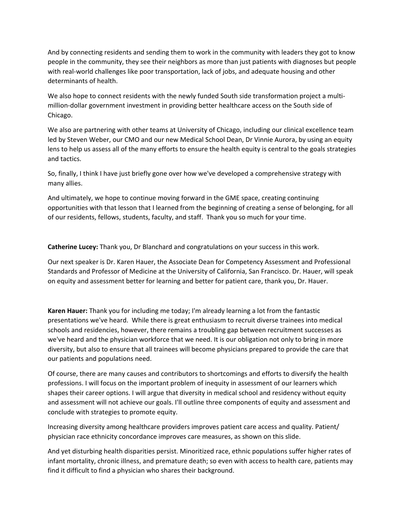And by connecting residents and sending them to work in the community with leaders they got to know people in the community, they see their neighbors as more than just patients with diagnoses but people with real-world challenges like poor transportation, lack of jobs, and adequate housing and other determinants of health.

We also hope to connect residents with the newly funded South side transformation project a multimillion‐dollar government investment in providing better healthcare access on the South side of Chicago.

We also are partnering with other teams at University of Chicago, including our clinical excellence team led by Steven Weber, our CMO and our new Medical School Dean, Dr Vinnie Aurora, by using an equity lens to help us assess all of the many efforts to ensure the health equity is central to the goals strategies and tactics.

So, finally, I think I have just briefly gone over how we've developed a comprehensive strategy with many allies.

And ultimately, we hope to continue moving forward in the GME space, creating continuing opportunities with that lesson that I learned from the beginning of creating a sense of belonging, for all of our residents, fellows, students, faculty, and staff. Thank you so much for your time.

**Catherine Lucey:** Thank you, Dr Blanchard and congratulations on your success in this work.

Our next speaker is Dr. Karen Hauer, the Associate Dean for Competency Assessment and Professional Standards and Professor of Medicine at the University of California, San Francisco. Dr. Hauer, will speak on equity and assessment better for learning and better for patient care, thank you, Dr. Hauer.

**Karen Hauer:** Thank you for including me today; I'm already learning a lot from the fantastic presentations we've heard. While there is great enthusiasm to recruit diverse trainees into medical schools and residencies, however, there remains a troubling gap between recruitment successes as we've heard and the physician workforce that we need. It is our obligation not only to bring in more diversity, but also to ensure that all trainees will become physicians prepared to provide the care that our patients and populations need.

Of course, there are many causes and contributors to shortcomings and efforts to diversify the health professions. I will focus on the important problem of inequity in assessment of our learners which shapes their career options. I will argue that diversity in medical school and residency without equity and assessment will not achieve our goals. I'll outline three components of equity and assessment and conclude with strategies to promote equity.

Increasing diversity among healthcare providers improves patient care access and quality. Patient/ physician race ethnicity concordance improves care measures, as shown on this slide.

And yet disturbing health disparities persist. Minoritized race, ethnic populations suffer higher rates of infant mortality, chronic illness, and premature death; so even with access to health care, patients may find it difficult to find a physician who shares their background.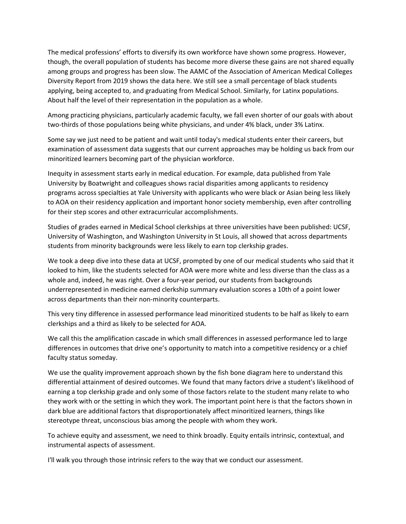The medical professions' efforts to diversify its own workforce have shown some progress. However, though, the overall population of students has become more diverse these gains are not shared equally among groups and progress has been slow. The AAMC of the Association of American Medical Colleges Diversity Report from 2019 shows the data here. We still see a small percentage of black students applying, being accepted to, and graduating from Medical School. Similarly, for Latinx populations. About half the level of their representation in the population as a whole.

Among practicing physicians, particularly academic faculty, we fall even shorter of our goals with about two-thirds of those populations being white physicians, and under 4% black, under 3% Latinx.

Some say we just need to be patient and wait until today's medical students enter their careers, but examination of assessment data suggests that our current approaches may be holding us back from our minoritized learners becoming part of the physician workforce.

Inequity in assessment starts early in medical education. For example, data published from Yale University by Boatwright and colleagues shows racial disparities among applicants to residency programs across specialties at Yale University with applicants who were black or Asian being less likely to AOA on their residency application and important honor society membership, even after controlling for their step scores and other extracurricular accomplishments.

Studies of grades earned in Medical School clerkships at three universities have been published: UCSF, University of Washington, and Washington University in St Louis, all showed that across departments students from minority backgrounds were less likely to earn top clerkship grades.

We took a deep dive into these data at UCSF, prompted by one of our medical students who said that it looked to him, like the students selected for AOA were more white and less diverse than the class as a whole and, indeed, he was right. Over a four-year period, our students from backgrounds underrepresented in medicine earned clerkship summary evaluation scores a 10th of a point lower across departments than their non‐minority counterparts.

This very tiny difference in assessed performance lead minoritized students to be half as likely to earn clerkships and a third as likely to be selected for AOA.

We call this the amplification cascade in which small differences in assessed performance led to large differences in outcomes that drive one's opportunity to match into a competitive residency or a chief faculty status someday.

We use the quality improvement approach shown by the fish bone diagram here to understand this differential attainment of desired outcomes. We found that many factors drive a student's likelihood of earning a top clerkship grade and only some of those factors relate to the student many relate to who they work with or the setting in which they work. The important point here is that the factors shown in dark blue are additional factors that disproportionately affect minoritized learners, things like stereotype threat, unconscious bias among the people with whom they work.

To achieve equity and assessment, we need to think broadly. Equity entails intrinsic, contextual, and instrumental aspects of assessment.

I'll walk you through those intrinsic refers to the way that we conduct our assessment.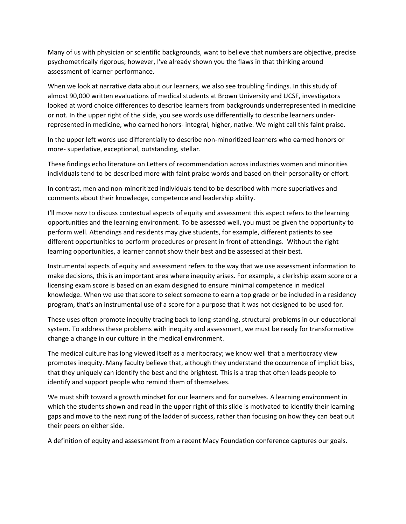Many of us with physician or scientific backgrounds, want to believe that numbers are objective, precise psychometrically rigorous; however, I've already shown you the flaws in that thinking around assessment of learner performance.

When we look at narrative data about our learners, we also see troubling findings. In this study of almost 90,000 written evaluations of medical students at Brown University and UCSF, investigators looked at word choice differences to describe learners from backgrounds underrepresented in medicine or not. In the upper right of the slide, you see words use differentially to describe learners under‐ represented in medicine, who earned honors‐ integral, higher, native. We might call this faint praise.

In the upper left words use differentially to describe non‐minoritized learners who earned honors or more- superlative, exceptional, outstanding, stellar.

These findings echo literature on Letters of recommendation across industries women and minorities individuals tend to be described more with faint praise words and based on their personality or effort.

In contrast, men and non‐minoritized individuals tend to be described with more superlatives and comments about their knowledge, competence and leadership ability.

I'll move now to discuss contextual aspects of equity and assessment this aspect refers to the learning opportunities and the learning environment. To be assessed well, you must be given the opportunity to perform well. Attendings and residents may give students, for example, different patients to see different opportunities to perform procedures or present in front of attendings. Without the right learning opportunities, a learner cannot show their best and be assessed at their best.

Instrumental aspects of equity and assessment refers to the way that we use assessment information to make decisions, this is an important area where inequity arises. For example, a clerkship exam score or a licensing exam score is based on an exam designed to ensure minimal competence in medical knowledge. When we use that score to select someone to earn a top grade or be included in a residency program, that's an instrumental use of a score for a purpose that it was not designed to be used for.

These uses often promote inequity tracing back to long‐standing, structural problems in our educational system. To address these problems with inequity and assessment, we must be ready for transformative change a change in our culture in the medical environment.

The medical culture has long viewed itself as a meritocracy; we know well that a meritocracy view promotes inequity. Many faculty believe that, although they understand the occurrence of implicit bias, that they uniquely can identify the best and the brightest. This is a trap that often leads people to identify and support people who remind them of themselves.

We must shift toward a growth mindset for our learners and for ourselves. A learning environment in which the students shown and read in the upper right of this slide is motivated to identify their learning gaps and move to the next rung of the ladder of success, rather than focusing on how they can beat out their peers on either side.

A definition of equity and assessment from a recent Macy Foundation conference captures our goals.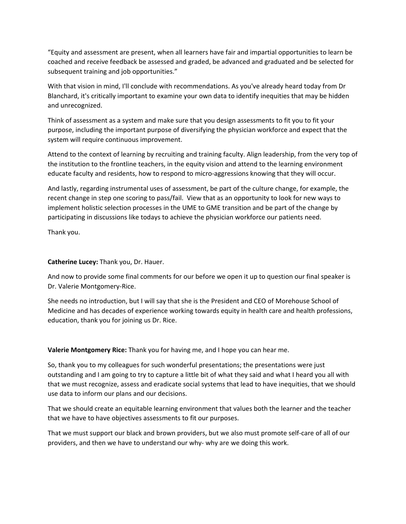"Equity and assessment are present, when all learners have fair and impartial opportunities to learn be coached and receive feedback be assessed and graded, be advanced and graduated and be selected for subsequent training and job opportunities."

With that vision in mind, I'll conclude with recommendations. As you've already heard today from Dr Blanchard, it's critically important to examine your own data to identify inequities that may be hidden and unrecognized.

Think of assessment as a system and make sure that you design assessments to fit you to fit your purpose, including the important purpose of diversifying the physician workforce and expect that the system will require continuous improvement.

Attend to the context of learning by recruiting and training faculty. Align leadership, from the very top of the institution to the frontline teachers, in the equity vision and attend to the learning environment educate faculty and residents, how to respond to micro-aggressions knowing that they will occur.

And lastly, regarding instrumental uses of assessment, be part of the culture change, for example, the recent change in step one scoring to pass/fail. View that as an opportunity to look for new ways to implement holistic selection processes in the UME to GME transition and be part of the change by participating in discussions like todays to achieve the physician workforce our patients need.

Thank you.

## **Catherine Lucey:** Thank you, Dr. Hauer.

And now to provide some final comments for our before we open it up to question our final speaker is Dr. Valerie Montgomery‐Rice.

She needs no introduction, but I will say that she is the President and CEO of Morehouse School of Medicine and has decades of experience working towards equity in health care and health professions, education, thank you for joining us Dr. Rice.

**Valerie Montgomery Rice:** Thank you for having me, and I hope you can hear me.

So, thank you to my colleagues for such wonderful presentations; the presentations were just outstanding and I am going to try to capture a little bit of what they said and what I heard you all with that we must recognize, assess and eradicate social systems that lead to have inequities, that we should use data to inform our plans and our decisions.

That we should create an equitable learning environment that values both the learner and the teacher that we have to have objectives assessments to fit our purposes.

That we must support our black and brown providers, but we also must promote self‐care of all of our providers, and then we have to understand our why‐ why are we doing this work.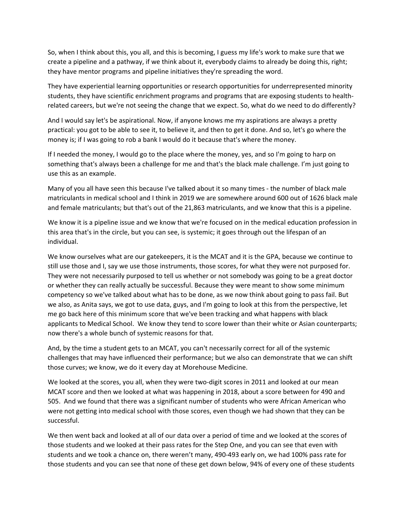So, when I think about this, you all, and this is becoming, I guess my life's work to make sure that we create a pipeline and a pathway, if we think about it, everybody claims to already be doing this, right; they have mentor programs and pipeline initiatives they're spreading the word.

They have experiential learning opportunities or research opportunities for underrepresented minority students, they have scientific enrichment programs and programs that are exposing students to health‐ related careers, but we're not seeing the change that we expect. So, what do we need to do differently?

And I would say let's be aspirational. Now, if anyone knows me my aspirations are always a pretty practical: you got to be able to see it, to believe it, and then to get it done. And so, let's go where the money is; if I was going to rob a bank I would do it because that's where the money.

If I needed the money, I would go to the place where the money, yes, and so I'm going to harp on something that's always been a challenge for me and that's the black male challenge. I'm just going to use this as an example.

Many of you all have seen this because I've talked about it so many times ‐ the number of black male matriculants in medical school and I think in 2019 we are somewhere around 600 out of 1626 black male and female matriculants; but that's out of the 21,863 matriculants, and we know that this is a pipeline.

We know it is a pipeline issue and we know that we're focused on in the medical education profession in this area that's in the circle, but you can see, is systemic; it goes through out the lifespan of an individual.

We know ourselves what are our gatekeepers, it is the MCAT and it is the GPA, because we continue to still use those and I, say we use those instruments, those scores, for what they were not purposed for. They were not necessarily purposed to tell us whether or not somebody was going to be a great doctor or whether they can really actually be successful. Because they were meant to show some minimum competency so we've talked about what has to be done, as we now think about going to pass fail. But we also, as Anita says, we got to use data, guys, and I'm going to look at this from the perspective, let me go back here of this minimum score that we've been tracking and what happens with black applicants to Medical School. We know they tend to score lower than their white or Asian counterparts; now there's a whole bunch of systemic reasons for that.

And, by the time a student gets to an MCAT, you can't necessarily correct for all of the systemic challenges that may have influenced their performance; but we also can demonstrate that we can shift those curves; we know, we do it every day at Morehouse Medicine.

We looked at the scores, you all, when they were two-digit scores in 2011 and looked at our mean MCAT score and then we looked at what was happening in 2018, about a score between for 490 and 505. And we found that there was a significant number of students who were African American who were not getting into medical school with those scores, even though we had shown that they can be successful.

We then went back and looked at all of our data over a period of time and we looked at the scores of those students and we looked at their pass rates for the Step One, and you can see that even with students and we took a chance on, there weren't many, 490‐493 early on, we had 100% pass rate for those students and you can see that none of these get down below, 94% of every one of these students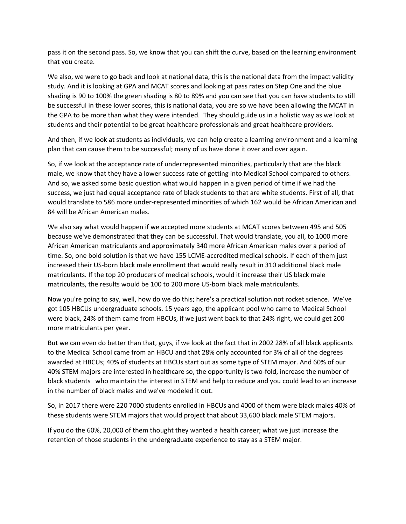pass it on the second pass. So, we know that you can shift the curve, based on the learning environment that you create.

We also, we were to go back and look at national data, this is the national data from the impact validity study. And it is looking at GPA and MCAT scores and looking at pass rates on Step One and the blue shading is 90 to 100% the green shading is 80 to 89% and you can see that you can have students to still be successful in these lower scores, this is national data, you are so we have been allowing the MCAT in the GPA to be more than what they were intended. They should guide us in a holistic way as we look at students and their potential to be great healthcare professionals and great healthcare providers.

And then, if we look at students as individuals, we can help create a learning environment and a learning plan that can cause them to be successful; many of us have done it over and over again.

So, if we look at the acceptance rate of underrepresented minorities, particularly that are the black male, we know that they have a lower success rate of getting into Medical School compared to others. And so, we asked some basic question what would happen in a given period of time if we had the success, we just had equal acceptance rate of black students to that are white students. First of all, that would translate to 586 more under‐represented minorities of which 162 would be African American and 84 will be African American males.

We also say what would happen if we accepted more students at MCAT scores between 495 and 505 because we've demonstrated that they can be successful. That would translate, you all, to 1000 more African American matriculants and approximately 340 more African American males over a period of time. So, one bold solution is that we have 155 LCME‐accredited medical schools. If each of them just increased their US‐born black male enrollment that would really result in 310 additional black male matriculants. If the top 20 producers of medical schools, would it increase their US black male matriculants, the results would be 100 to 200 more US‐born black male matriculants.

Now you're going to say, well, how do we do this; here's a practical solution not rocket science. We've got 105 HBCUs undergraduate schools. 15 years ago, the applicant pool who came to Medical School were black, 24% of them came from HBCUs, if we just went back to that 24% right, we could get 200 more matriculants per year.

But we can even do better than that, guys, if we look at the fact that in 2002 28% of all black applicants to the Medical School came from an HBCU and that 28% only accounted for 3% of all of the degrees awarded at HBCUs; 40% of students at HBCUs start out as some type of STEM major. And 60% of our 40% STEM majors are interested in healthcare so, the opportunity is two-fold, increase the number of black students who maintain the interest in STEM and help to reduce and you could lead to an increase in the number of black males and we've modeled it out.

So, in 2017 there were 220 7000 students enrolled in HBCUs and 4000 of them were black males 40% of these students were STEM majors that would project that about 33,600 black male STEM majors.

If you do the 60%, 20,000 of them thought they wanted a health career; what we just increase the retention of those students in the undergraduate experience to stay as a STEM major.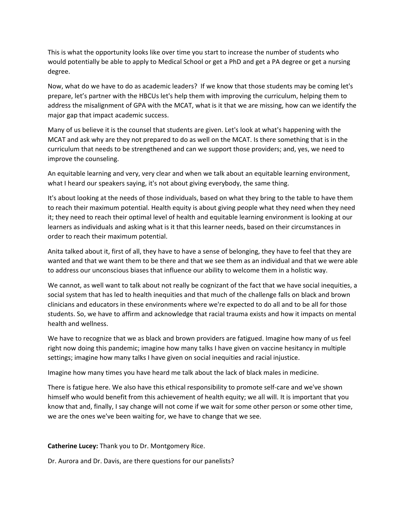This is what the opportunity looks like over time you start to increase the number of students who would potentially be able to apply to Medical School or get a PhD and get a PA degree or get a nursing degree.

Now, what do we have to do as academic leaders? If we know that those students may be coming let's prepare, let's partner with the HBCUs let's help them with improving the curriculum, helping them to address the misalignment of GPA with the MCAT, what is it that we are missing, how can we identify the major gap that impact academic success.

Many of us believe it is the counsel that students are given. Let's look at what's happening with the MCAT and ask why are they not prepared to do as well on the MCAT. Is there something that is in the curriculum that needs to be strengthened and can we support those providers; and, yes, we need to improve the counseling.

An equitable learning and very, very clear and when we talk about an equitable learning environment, what I heard our speakers saying, it's not about giving everybody, the same thing.

It's about looking at the needs of those individuals, based on what they bring to the table to have them to reach their maximum potential. Health equity is about giving people what they need when they need it; they need to reach their optimal level of health and equitable learning environment is looking at our learners as individuals and asking what is it that this learner needs, based on their circumstances in order to reach their maximum potential.

Anita talked about it, first of all, they have to have a sense of belonging, they have to feel that they are wanted and that we want them to be there and that we see them as an individual and that we were able to address our unconscious biases that influence our ability to welcome them in a holistic way.

We cannot, as well want to talk about not really be cognizant of the fact that we have social inequities, a social system that has led to health inequities and that much of the challenge falls on black and brown clinicians and educators in these environments where we're expected to do all and to be all for those students. So, we have to affirm and acknowledge that racial trauma exists and how it impacts on mental health and wellness.

We have to recognize that we as black and brown providers are fatigued. Imagine how many of us feel right now doing this pandemic; imagine how many talks I have given on vaccine hesitancy in multiple settings; imagine how many talks I have given on social inequities and racial injustice.

Imagine how many times you have heard me talk about the lack of black males in medicine.

There is fatigue here. We also have this ethical responsibility to promote self‐care and we've shown himself who would benefit from this achievement of health equity; we all will. It is important that you know that and, finally, I say change will not come if we wait for some other person or some other time, we are the ones we've been waiting for, we have to change that we see.

**Catherine Lucey:** Thank you to Dr. Montgomery Rice.

Dr. Aurora and Dr. Davis, are there questions for our panelists?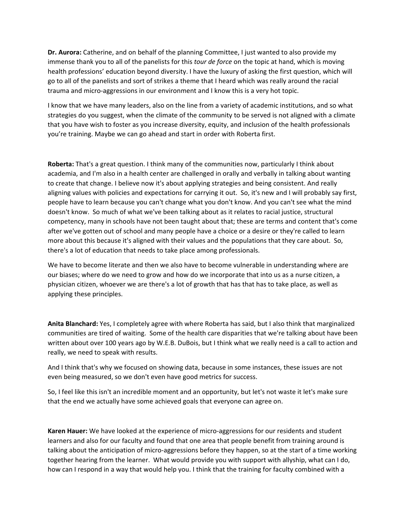**Dr. Aurora:** Catherine, and on behalf of the planning Committee, I just wanted to also provide my immense thank you to all of the panelists for this *tour de force* on the topic at hand, which is moving health professions' education beyond diversity. I have the luxury of asking the first question, which will go to all of the panelists and sort of strikes a theme that I heard which was really around the racial trauma and micro‐aggressions in our environment and I know this is a very hot topic.

I know that we have many leaders, also on the line from a variety of academic institutions, and so what strategies do you suggest, when the climate of the community to be served is not aligned with a climate that you have wish to foster as you increase diversity, equity, and inclusion of the health professionals you're training. Maybe we can go ahead and start in order with Roberta first.

**Roberta:** That's a great question. I think many of the communities now, particularly I think about academia, and I'm also in a health center are challenged in orally and verbally in talking about wanting to create that change. I believe now it's about applying strategies and being consistent. And really aligning values with policies and expectations for carrying it out. So, it's new and I will probably say first, people have to learn because you can't change what you don't know. And you can't see what the mind doesn't know. So much of what we've been talking about as it relates to racial justice, structural competency, many in schools have not been taught about that; these are terms and content that's come after we've gotten out of school and many people have a choice or a desire or they're called to learn more about this because it's aligned with their values and the populations that they care about. So, there's a lot of education that needs to take place among professionals.

We have to become literate and then we also have to become vulnerable in understanding where are our biases; where do we need to grow and how do we incorporate that into us as a nurse citizen, a physician citizen, whoever we are there's a lot of growth that has that has to take place, as well as applying these principles.

**Anita Blanchard:** Yes, I completely agree with where Roberta has said, but I also think that marginalized communities are tired of waiting. Some of the health care disparities that we're talking about have been written about over 100 years ago by W.E.B. DuBois, but I think what we really need is a call to action and really, we need to speak with results.

And I think that's why we focused on showing data, because in some instances, these issues are not even being measured, so we don't even have good metrics for success.

So, I feel like this isn't an incredible moment and an opportunity, but let's not waste it let's make sure that the end we actually have some achieved goals that everyone can agree on.

**Karen Hauer:** We have looked at the experience of micro‐aggressions for our residents and student learners and also for our faculty and found that one area that people benefit from training around is talking about the anticipation of micro‐aggressions before they happen, so at the start of a time working together hearing from the learner. What would provide you with support with allyship, what can I do, how can I respond in a way that would help you. I think that the training for faculty combined with a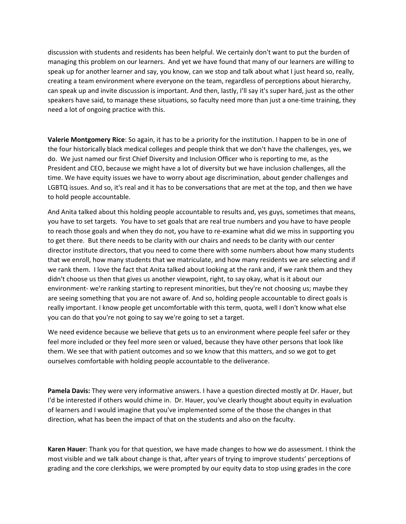discussion with students and residents has been helpful. We certainly don't want to put the burden of managing this problem on our learners. And yet we have found that many of our learners are willing to speak up for another learner and say, you know, can we stop and talk about what I just heard so, really, creating a team environment where everyone on the team, regardless of perceptions about hierarchy, can speak up and invite discussion is important. And then, lastly, I'll say it's super hard, just as the other speakers have said, to manage these situations, so faculty need more than just a one‐time training, they need a lot of ongoing practice with this.

**Valerie Montgomery Rice**: So again, it has to be a priority for the institution. I happen to be in one of the four historically black medical colleges and people think that we don't have the challenges, yes, we do. We just named our first Chief Diversity and Inclusion Officer who is reporting to me, as the President and CEO, because we might have a lot of diversity but we have inclusion challenges, all the time. We have equity issues we have to worry about age discrimination, about gender challenges and LGBTQ issues. And so, it's real and it has to be conversations that are met at the top, and then we have to hold people accountable.

And Anita talked about this holding people accountable to results and, yes guys, sometimes that means, you have to set targets. You have to set goals that are real true numbers and you have to have people to reach those goals and when they do not, you have to re‐examine what did we miss in supporting you to get there. But there needs to be clarity with our chairs and needs to be clarity with our center director institute directors, that you need to come there with some numbers about how many students that we enroll, how many students that we matriculate, and how many residents we are selecting and if we rank them. I love the fact that Anita talked about looking at the rank and, if we rank them and they didn't choose us then that gives us another viewpoint, right, to say okay, what is it about our environment- we're ranking starting to represent minorities, but they're not choosing us; maybe they are seeing something that you are not aware of. And so, holding people accountable to direct goals is really important. I know people get uncomfortable with this term, quota, well I don't know what else you can do that you're not going to say we're going to set a target.

We need evidence because we believe that gets us to an environment where people feel safer or they feel more included or they feel more seen or valued, because they have other persons that look like them. We see that with patient outcomes and so we know that this matters, and so we got to get ourselves comfortable with holding people accountable to the deliverance.

**Pamela Davis:** They were very informative answers. I have a question directed mostly at Dr. Hauer, but I'd be interested if others would chime in. Dr. Hauer, you've clearly thought about equity in evaluation of learners and I would imagine that you've implemented some of the those the changes in that direction, what has been the impact of that on the students and also on the faculty.

**Karen Hauer**: Thank you for that question, we have made changes to how we do assessment. I think the most visible and we talk about change is that, after years of trying to improve students' perceptions of grading and the core clerkships, we were prompted by our equity data to stop using grades in the core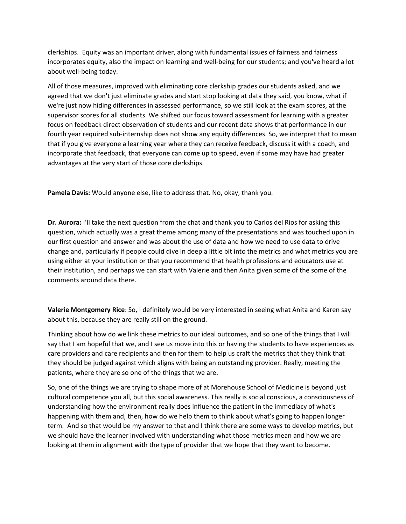clerkships. Equity was an important driver, along with fundamental issues of fairness and fairness incorporates equity, also the impact on learning and well‐being for our students; and you've heard a lot about well‐being today.

All of those measures, improved with eliminating core clerkship grades our students asked, and we agreed that we don't just eliminate grades and start stop looking at data they said, you know, what if we're just now hiding differences in assessed performance, so we still look at the exam scores, at the supervisor scores for all students. We shifted our focus toward assessment for learning with a greater focus on feedback direct observation of students and our recent data shows that performance in our fourth year required sub-internship does not show any equity differences. So, we interpret that to mean that if you give everyone a learning year where they can receive feedback, discuss it with a coach, and incorporate that feedback, that everyone can come up to speed, even if some may have had greater advantages at the very start of those core clerkships.

**Pamela Davis:** Would anyone else, like to address that. No, okay, thank you.

**Dr. Aurora:** I'll take the next question from the chat and thank you to Carlos del Rios for asking this question, which actually was a great theme among many of the presentations and was touched upon in our first question and answer and was about the use of data and how we need to use data to drive change and, particularly if people could dive in deep a little bit into the metrics and what metrics you are using either at your institution or that you recommend that health professions and educators use at their institution, and perhaps we can start with Valerie and then Anita given some of the some of the comments around data there.

**Valerie Montgomery Rice**: So, I definitely would be very interested in seeing what Anita and Karen say about this, because they are really still on the ground.

Thinking about how do we link these metrics to our ideal outcomes, and so one of the things that I will say that I am hopeful that we, and I see us move into this or having the students to have experiences as care providers and care recipients and then for them to help us craft the metrics that they think that they should be judged against which aligns with being an outstanding provider. Really, meeting the patients, where they are so one of the things that we are.

So, one of the things we are trying to shape more of at Morehouse School of Medicine is beyond just cultural competence you all, but this social awareness. This really is social conscious, a consciousness of understanding how the environment really does influence the patient in the immediacy of what's happening with them and, then, how do we help them to think about what's going to happen longer term. And so that would be my answer to that and I think there are some ways to develop metrics, but we should have the learner involved with understanding what those metrics mean and how we are looking at them in alignment with the type of provider that we hope that they want to become.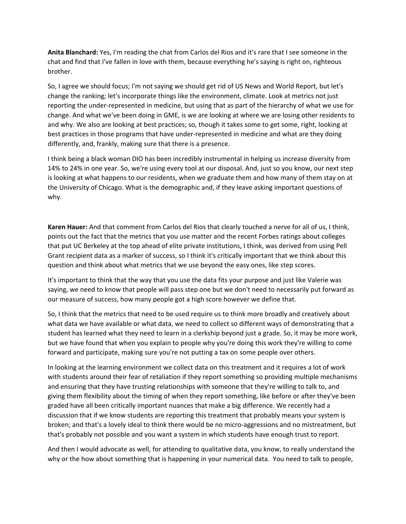**Anita Blanchard:** Yes, I'm reading the chat from Carlos del Rios and it's rare that I see someone in the chat and find that I've fallen in love with them, because everything he's saying is right on, righteous brother.

So, I agree we should focus; I'm not saying we should get rid of US News and World Report, but let's change the ranking; let's incorporate things like the environment, climate. Look at metrics not just reporting the under‐represented in medicine, but using that as part of the hierarchy of what we use for change. And what we've been doing in GME, is we are looking at where we are losing other residents to and why. We also are looking at best practices; so, though it takes some to get some, right, looking at best practices in those programs that have under-represented in medicine and what are they doing differently, and, frankly, making sure that there is a presence.

I think being a black woman DIO has been incredibly instrumental in helping us increase diversity from 14% to 24% in one year. So, we're using every tool at our disposal. And, just so you know, our next step is looking at what happens to our residents, when we graduate them and how many of them stay on at the University of Chicago. What is the demographic and, if they leave asking important questions of why.

**Karen Hauer:** And that comment from Carlos del Rios that clearly touched a nerve for all of us, I think, points out the fact that the metrics that you use matter and the recent Forbes ratings about colleges that put UC Berkeley at the top ahead of elite private institutions, I think, was derived from using Pell Grant recipient data as a marker of success, so I think it's critically important that we think about this question and think about what metrics that we use beyond the easy ones, like step scores.

It's important to think that the way that you use the data fits your purpose and just like Valerie was saying, we need to know that people will pass step one but we don't need to necessarily put forward as our measure of success, how many people got a high score however we define that.

So, I think that the metrics that need to be used require us to think more broadly and creatively about what data we have available or what data, we need to collect so different ways of demonstrating that a student has learned what they need to learn in a clerkship beyond just a grade. So, it may be more work, but we have found that when you explain to people why you're doing this work they're willing to come forward and participate, making sure you're not putting a tax on some people over others.

In looking at the learning environment we collect data on this treatment and it requires a lot of work with students around their fear of retaliation if they report something so providing multiple mechanisms and ensuring that they have trusting relationships with someone that they're willing to talk to, and giving them flexibility about the timing of when they report something, like before or after they've been graded have all been critically important nuances that make a big difference. We recently had a discussion that if we know students are reporting this treatment that probably means your system is broken; and that's a lovely ideal to think there would be no micro‐aggressions and no mistreatment, but that's probably not possible and you want a system in which students have enough trust to report.

And then I would advocate as well, for attending to qualitative data, you know, to really understand the why or the how about something that is happening in your numerical data. You need to talk to people,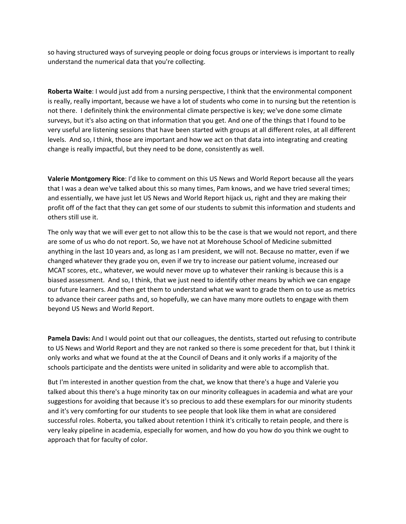so having structured ways of surveying people or doing focus groups or interviews is important to really understand the numerical data that you're collecting.

**Roberta Waite**: I would just add from a nursing perspective, I think that the environmental component is really, really important, because we have a lot of students who come in to nursing but the retention is not there. I definitely think the environmental climate perspective is key; we've done some climate surveys, but it's also acting on that information that you get. And one of the things that I found to be very useful are listening sessions that have been started with groups at all different roles, at all different levels. And so, I think, those are important and how we act on that data into integrating and creating change is really impactful, but they need to be done, consistently as well.

**Valerie Montgomery Rice**: I'd like to comment on this US News and World Report because all the years that I was a dean we've talked about this so many times, Pam knows, and we have tried several times; and essentially, we have just let US News and World Report hijack us, right and they are making their profit off of the fact that they can get some of our students to submit this information and students and others still use it.

The only way that we will ever get to not allow this to be the case is that we would not report, and there are some of us who do not report. So, we have not at Morehouse School of Medicine submitted anything in the last 10 years and, as long as I am president, we will not. Because no matter, even if we changed whatever they grade you on, even if we try to increase our patient volume, increased our MCAT scores, etc., whatever, we would never move up to whatever their ranking is because this is a biased assessment. And so, I think, that we just need to identify other means by which we can engage our future learners. And then get them to understand what we want to grade them on to use as metrics to advance their career paths and, so hopefully, we can have many more outlets to engage with them beyond US News and World Report.

**Pamela Davis:** And I would point out that our colleagues, the dentists, started out refusing to contribute to US News and World Report and they are not ranked so there is some precedent for that, but I think it only works and what we found at the at the Council of Deans and it only works if a majority of the schools participate and the dentists were united in solidarity and were able to accomplish that.

But I'm interested in another question from the chat, we know that there's a huge and Valerie you talked about this there's a huge minority tax on our minority colleagues in academia and what are your suggestions for avoiding that because it's so precious to add these exemplars for our minority students and it's very comforting for our students to see people that look like them in what are considered successful roles. Roberta, you talked about retention I think it's critically to retain people, and there is very leaky pipeline in academia, especially for women, and how do you how do you think we ought to approach that for faculty of color.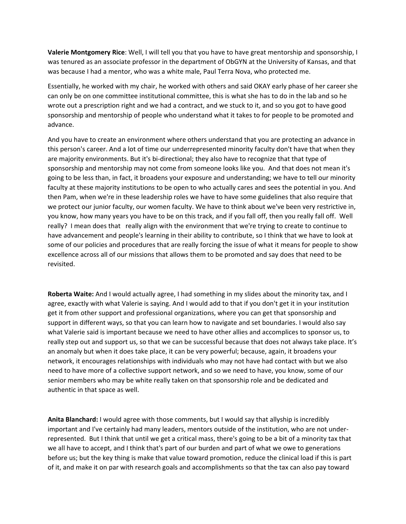**Valerie Montgomery Rice**: Well, I will tell you that you have to have great mentorship and sponsorship, I was tenured as an associate professor in the department of ObGYN at the University of Kansas, and that was because I had a mentor, who was a white male, Paul Terra Nova, who protected me.

Essentially, he worked with my chair, he worked with others and said OKAY early phase of her career she can only be on one committee institutional committee, this is what she has to do in the lab and so he wrote out a prescription right and we had a contract, and we stuck to it, and so you got to have good sponsorship and mentorship of people who understand what it takes to for people to be promoted and advance.

And you have to create an environment where others understand that you are protecting an advance in this person's career. And a lot of time our underrepresented minority faculty don't have that when they are majority environments. But it's bi-directional; they also have to recognize that that type of sponsorship and mentorship may not come from someone looks like you. And that does not mean it's going to be less than, in fact, it broadens your exposure and understanding; we have to tell our minority faculty at these majority institutions to be open to who actually cares and sees the potential in you. And then Pam, when we're in these leadership roles we have to have some guidelines that also require that we protect our junior faculty, our women faculty. We have to think about we've been very restrictive in, you know, how many years you have to be on this track, and if you fall off, then you really fall off. Well really? I mean does that really align with the environment that we're trying to create to continue to have advancement and people's learning in their ability to contribute, so I think that we have to look at some of our policies and procedures that are really forcing the issue of what it means for people to show excellence across all of our missions that allows them to be promoted and say does that need to be revisited.

**Roberta Waite:** And I would actually agree, I had something in my slides about the minority tax, and I agree, exactly with what Valerie is saying. And I would add to that if you don't get it in your institution get it from other support and professional organizations, where you can get that sponsorship and support in different ways, so that you can learn how to navigate and set boundaries. I would also say what Valerie said is important because we need to have other allies and accomplices to sponsor us, to really step out and support us, so that we can be successful because that does not always take place. It's an anomaly but when it does take place, it can be very powerful; because, again, it broadens your network, it encourages relationships with individuals who may not have had contact with but we also need to have more of a collective support network, and so we need to have, you know, some of our senior members who may be white really taken on that sponsorship role and be dedicated and authentic in that space as well.

**Anita Blanchard:** I would agree with those comments, but I would say that allyship is incredibly important and I've certainly had many leaders, mentors outside of the institution, who are not under‐ represented. But I think that until we get a critical mass, there's going to be a bit of a minority tax that we all have to accept, and I think that's part of our burden and part of what we owe to generations before us; but the key thing is make that value toward promotion, reduce the clinical load if this is part of it, and make it on par with research goals and accomplishments so that the tax can also pay toward